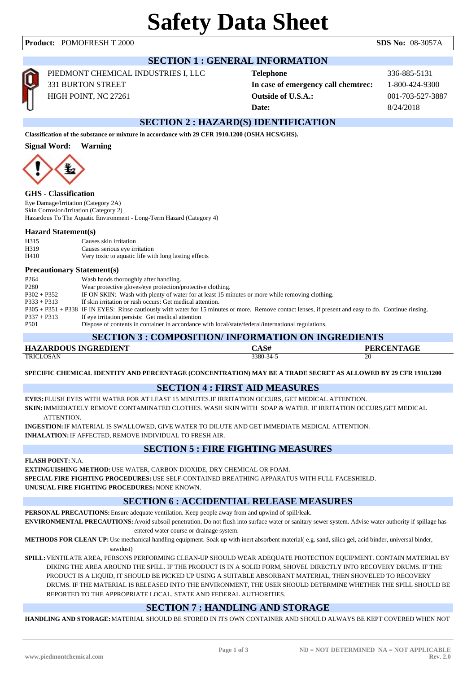# **Safety Data Sheet**

|                                                                                                                          |                                                                                                                                                                                                                                                                                                                                                                                                                                                                                                                                                                                         | <b>SECTION 1 : GENERAL INFORMATION</b>      |                   |
|--------------------------------------------------------------------------------------------------------------------------|-----------------------------------------------------------------------------------------------------------------------------------------------------------------------------------------------------------------------------------------------------------------------------------------------------------------------------------------------------------------------------------------------------------------------------------------------------------------------------------------------------------------------------------------------------------------------------------------|---------------------------------------------|-------------------|
|                                                                                                                          | PIEDMONT CHEMICAL INDUSTRIES I, LLC                                                                                                                                                                                                                                                                                                                                                                                                                                                                                                                                                     | <b>Telephone</b>                            | 336-885-5131      |
|                                                                                                                          | <b>331 BURTON STREET</b>                                                                                                                                                                                                                                                                                                                                                                                                                                                                                                                                                                | In case of emergency call chemtrec:         | 1-800-424-9300    |
|                                                                                                                          | HIGH POINT, NC 27261                                                                                                                                                                                                                                                                                                                                                                                                                                                                                                                                                                    | Outside of U.S.A.:                          | 001-703-527-3887  |
|                                                                                                                          |                                                                                                                                                                                                                                                                                                                                                                                                                                                                                                                                                                                         | Date:                                       | 8/24/2018         |
|                                                                                                                          |                                                                                                                                                                                                                                                                                                                                                                                                                                                                                                                                                                                         | <b>SECTION 2 : HAZARD(S) IDENTIFICATION</b> |                   |
|                                                                                                                          | Classification of the substance or mixture in accordance with 29 CFR 1910.1200 (OSHA HCS/GHS).                                                                                                                                                                                                                                                                                                                                                                                                                                                                                          |                                             |                   |
| <b>Signal Word:</b>                                                                                                      | <b>Warning</b>                                                                                                                                                                                                                                                                                                                                                                                                                                                                                                                                                                          |                                             |                   |
| <b>GHS</b> - Classification<br>Eye Damage/Irritation (Category 2A)<br><b>Hazard Statement(s)</b><br>H315<br>H319<br>H410 | Skin Corrosion/Irritation (Category 2)<br>Hazardous To The Aquatic Environment - Long-Term Hazard (Category 4)<br>Causes skin irritation<br>Causes serious eye irritation<br>Very toxic to aquatic life with long lasting effects                                                                                                                                                                                                                                                                                                                                                       |                                             |                   |
| <b>Precautionary Statement(s)</b>                                                                                        |                                                                                                                                                                                                                                                                                                                                                                                                                                                                                                                                                                                         |                                             |                   |
| P <sub>264</sub><br>P <sub>280</sub><br>$P302 + P352$<br>$P333 + P313$<br>$P337 + P313$<br>P501                          | Wash hands thoroughly after handling.<br>Wear protective gloves/eye protection/protective clothing.<br>IF ON SKIN: Wash with plenty of water for at least 15 minutes or more while removing clothing.<br>If skin irritation or rash occurs: Get medical attention.<br>P305 + P351 + P338 IF IN EYES: Rinse cautiously with water for 15 minutes or more. Remove contact lenses, if present and easy to do. Continue rinsing.<br>If eye irritation persists: Get medical attention<br>Dispose of contents in container in accordance with local/state/federal/international regulations. |                                             |                   |
|                                                                                                                          | <b>SECTION 3 : COMPOSITION/ INFORMATION ON INGREDIENTS</b>                                                                                                                                                                                                                                                                                                                                                                                                                                                                                                                              |                                             |                   |
|                                                                                                                          | <b>HAZARDOUS INGREDIENT</b>                                                                                                                                                                                                                                                                                                                                                                                                                                                                                                                                                             | CAS#                                        | <b>PERCENTAGE</b> |
| <b>TRICLOSAN</b>                                                                                                         |                                                                                                                                                                                                                                                                                                                                                                                                                                                                                                                                                                                         | 3380-34-5                                   | $\overline{20}$   |

## **SECTION 4 : FIRST AID MEASURES**

**EYES:** FLUSH EYES WITH WATER FOR AT LEAST 15 MINUTES.IF IRRITATION OCCURS, GET MEDICAL ATTENTION. **SKIN:**IMMEDIATELY REMOVE CONTAMINATED CLOTHES. WASH SKIN WITH SOAP & WATER. IF IRRITATION OCCURS,GET MEDICAL ATTENTION.

**INGESTION:**IF MATERIAL IS SWALLOWED, GIVE WATER TO DILUTE AND GET IMMEDIATE MEDICAL ATTENTION. **INHALATION:**IF AFFECTED, REMOVE INDIVIDUAL TO FRESH AIR.

# **SECTION 5 : FIRE FIGHTING MEASURES**

**FLASH POINT:**N.A.

**EXTINGUISHING METHOD:**USE WATER, CARBON DIOXIDE, DRY CHEMICAL OR FOAM. **SPECIAL FIRE FIGHTING PROCEDURES:**USE SELF-CONTAINED BREATHING APPARATUS WITH FULL FACESHIELD. **UNUSUAL FIRE FIGHTING PROCEDURES:**NONE KNOWN.

# **SECTION 6 : ACCIDENTIAL RELEASE MEASURES**

**PERSONAL PRECAUTIONS:**Ensure adequate ventilation. Keep people away from and upwind of spill/leak.

**ENVIRONMENTAL PRECAUTIONS:**Avoid subsoil penetration. Do not flush into surface water or sanitary sewer system. Advise water authority if spillage has entered water course or drainage system.

**METHODS FOR CLEAN UP:**Use mechanical handling equipment. Soak up with inert absorbent material( e.g. sand, silica gel, acid binder, universal binder, sawdust)

**SPILL:**VENTILATE AREA, PERSONS PERFORMING CLEAN-UP SHOULD WEAR ADEQUATE PROTECTION EQUIPMENT. CONTAIN MATERIAL BY DIKING THE AREA AROUND THE SPILL. IF THE PRODUCT IS IN A SOLID FORM, SHOVEL DIRECTLY INTO RECOVERY DRUMS. IF THE PRODUCT IS A LIQUID, IT SHOULD BE PICKED UP USING A SUITABLE ABSORBANT MATERIAL, THEN SHOVELED TO RECOVERY DRUMS. IF THE MATERIAL IS RELEASED INTO THE ENVIRONMENT, THE USER SHOULD DETERMINE WHETHER THE SPILL SHOULD BE REPORTED TO THE APPROPRIATE LOCAL, STATE AND FEDERAL AUTHORITIES.

## **SECTION 7 : HANDLING AND STORAGE**

**HANDLING AND STORAGE:**MATERIAL SHOULD BE STORED IN ITS OWN CONTAINER AND SHOULD ALWAYS BE KEPT COVERED WHEN NOT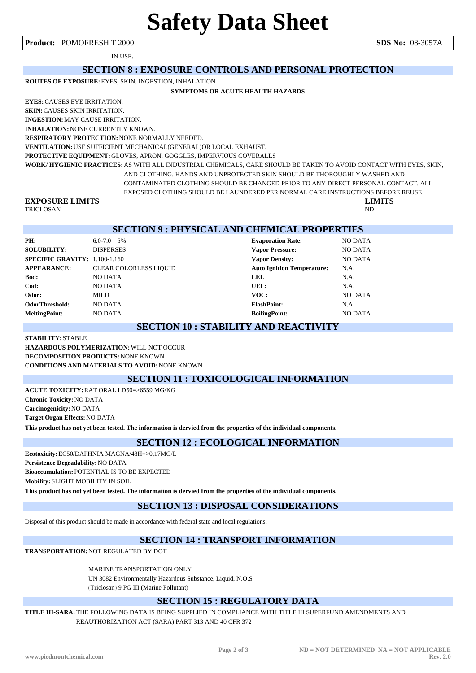**Product:** POMOFRESH T 2000 **SDS No:** 08-3057A

IN USE.

#### **SECTION 8 : EXPOSURE CONTROLS AND PERSONAL PROTECTION**

**ROUTES OF EXPOSURE:**EYES, SKIN, INGESTION, INHALATION

#### **SYMPTOMS OR ACUTE HEALTH HAZARDS**

**EYES:**CAUSES EYE IRRITATION.

**SKIN:**CAUSES SKIN IRRITATION.

**INGESTION:**MAY CAUSE IRRITATION. **INHALATION:**NONE CURRENTLY KNOWN.

**RESPIRATORY PROTECTION:**NONE NORMALLY NEEDED.

**VENTILATION:**USE SUFFICIENT MECHANICAL(GENERAL)OR LOCAL EXHAUST.

**PROTECTIVE EQUIPMENT:**GLOVES, APRON, GOGGLES, IMPERVIOUS COVERALLS

**WORK/ HYGIENIC PRACTICES:**AS WITH ALL INDUSTRIAL CHEMICALS, CARE SHOULD BE TAKEN TO AVOID CONTACT WITH EYES, SKIN, AND CLOTHING. HANDS AND UNPROTECTED SKIN SHOULD BE THOROUGHLY WASHED AND

CONTAMINATED CLOTHING SHOULD BE CHANGED PRIOR TO ANY DIRECT PERSONAL CONTACT. ALL

EXPOSED CLOTHING SHOULD BE LAUNDERED PER NORMAL CARE INSTRUCTIONS BEFORE REUSE

# **EXPOSURE LIMITS LIMITS**

TRICLOSAN ND

#### **SECTION 9 : PHYSICAL AND CHEMICAL PROPERTIES**

| PH:                                  | $6.0 - 7.0$ 5%                | <b>Evaporation Rate:</b>          | <b>NO DATA</b> |
|--------------------------------------|-------------------------------|-----------------------------------|----------------|
| <b>SOLUBILITY:</b>                   | <b>DISPERSES</b>              | <b>Vapor Pressure:</b>            | <b>NO DATA</b> |
| <b>SPECIFIC GRAVITY: 1.100-1.160</b> |                               | <b>Vapor Density:</b>             | <b>NO DATA</b> |
| <b>APPEARANCE:</b>                   | <b>CLEAR COLORLESS LIQUID</b> | <b>Auto Ignition Temperature:</b> | N.A.           |
| <b>Bod:</b>                          | <b>NO DATA</b>                | LEL                               | N.A.           |
| Cod:                                 | <b>NO DATA</b>                | UEL:                              | N.A.           |
| <b>Odor:</b>                         | MILD                          | VOC:                              | <b>NO DATA</b> |
| <b>OdorThreshold:</b>                | <b>NO DATA</b>                | <b>FlashPoint:</b>                | N.A.           |
| <b>MeltingPoint:</b>                 | <b>NO DATA</b>                | <b>BoilingPoint:</b>              | <b>NO DATA</b> |

#### **SECTION 10 : STABILITY AND REACTIVITY**

**STABILITY:** STABLE **HAZARDOUS POLYMERIZATION:**WILL NOT OCCUR **DECOMPOSITION PRODUCTS:**NONE KNOWN **CONDITIONS AND MATERIALS TO AVOID:**NONE KNOWN

#### **SECTION 11 : TOXICOLOGICAL INFORMATION**

**ACUTE TOXICITY:**RAT ORAL LD50=>6559 MG/KG **Chronic Toxicity:**NO DATA **Carcinogenicity:**NO DATA **Target Organ Effects:**NO DATA **This product has not yet been tested. The information is dervied from the properties of the individual components.**

#### **SECTION 12 : ECOLOGICAL INFORMATION**

**Ecotoxicity:**EC50/DAPHNIA MAGNA/48H=>0,17MG/L **Persistence Degradability:**NO DATA **Bioaccumulation:** POTENTIAL IS TO BE EXPECTED **Mobility:** SLIGHT MOBILITY IN SOIL

**This product has not yet been tested. The information is dervied from the properties of the individual components.**

#### **SECTION 13 : DISPOSAL CONSIDERATIONS**

Disposal of this product should be made in accordance with federal state and local regulations.

### **SECTION 14 : TRANSPORT INFORMATION**

**TRANSPORTATION:**NOT REGULATED BY DOT

MARINE TRANSPORTATION ONLY

UN 3082 Environmentally Hazardous Substance, Liquid, N.O.S (Triclosan) 9 PG III (Marine Pollutant)

#### **SECTION 15 : REGULATORY DATA**

**TITLE III-SARA:**THE FOLLOWING DATA IS BEING SUPPLIED IN COMPLIANCE WITH TITLE III SUPERFUND AMENDMENTS AND REAUTHORIZATION ACT (SARA) PART 313 AND 40 CFR 372